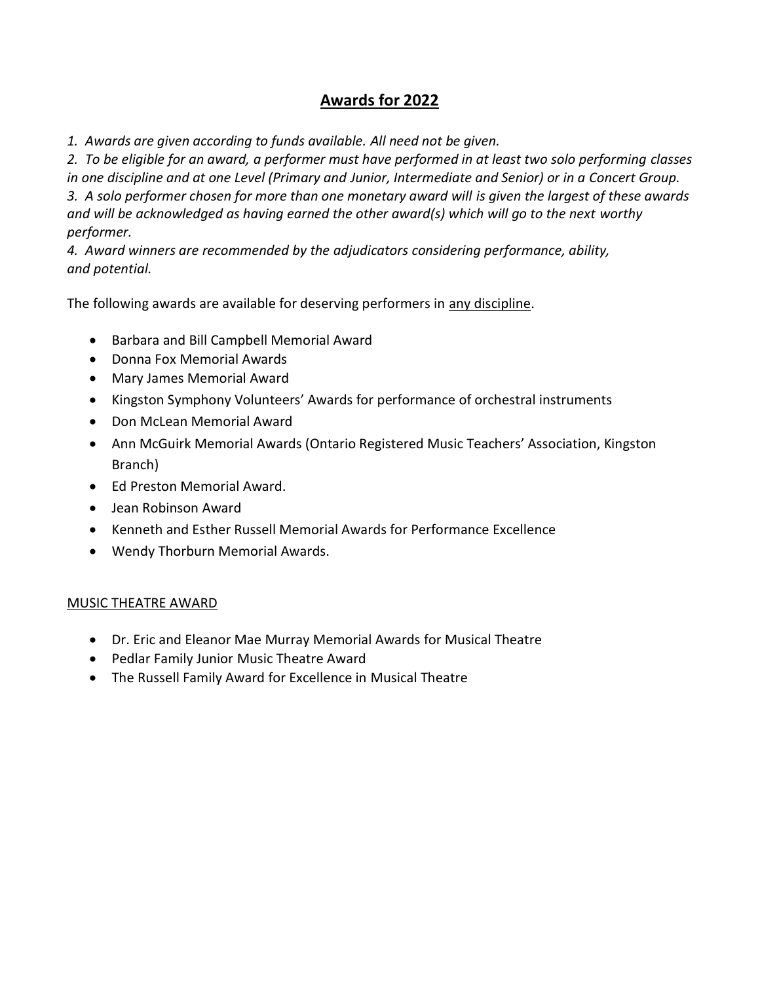# **Awards for 2022**

*1. Awards are given according to funds available. All need not be given.*

*2. To be eligible for an award, a performer must have performed in at least two solo performing classes in one discipline and at one Level (Primary and Junior, Intermediate and Senior) or in a Concert Group. 3. A solo performer chosen for more than one monetary award will is given the largest of these awards and will be acknowledged as having earned the other award(s) which will go to the next worthy performer.*

*4. Award winners are recommended by the adjudicators considering performance, ability, and potential.*

The following awards are available for deserving performers in any discipline.

- Barbara and Bill Campbell Memorial Award
- Donna Fox Memorial Awards
- Mary James Memorial Award
- Kingston Symphony Volunteers' Awards for performance of orchestral instruments
- Don McLean Memorial Award
- Ann McGuirk Memorial Awards (Ontario Registered Music Teachers' Association, Kingston Branch)
- Ed Preston Memorial Award.
- Jean Robinson Award
- Kenneth and Esther Russell Memorial Awards for Performance Excellence
- Wendy Thorburn Memorial Awards.

## MUSIC THEATRE AWARD

- Dr. Eric and Eleanor Mae Murray Memorial Awards for Musical Theatre
- Pedlar Family Junior Music Theatre Award
- The Russell Family Award for Excellence in Musical Theatre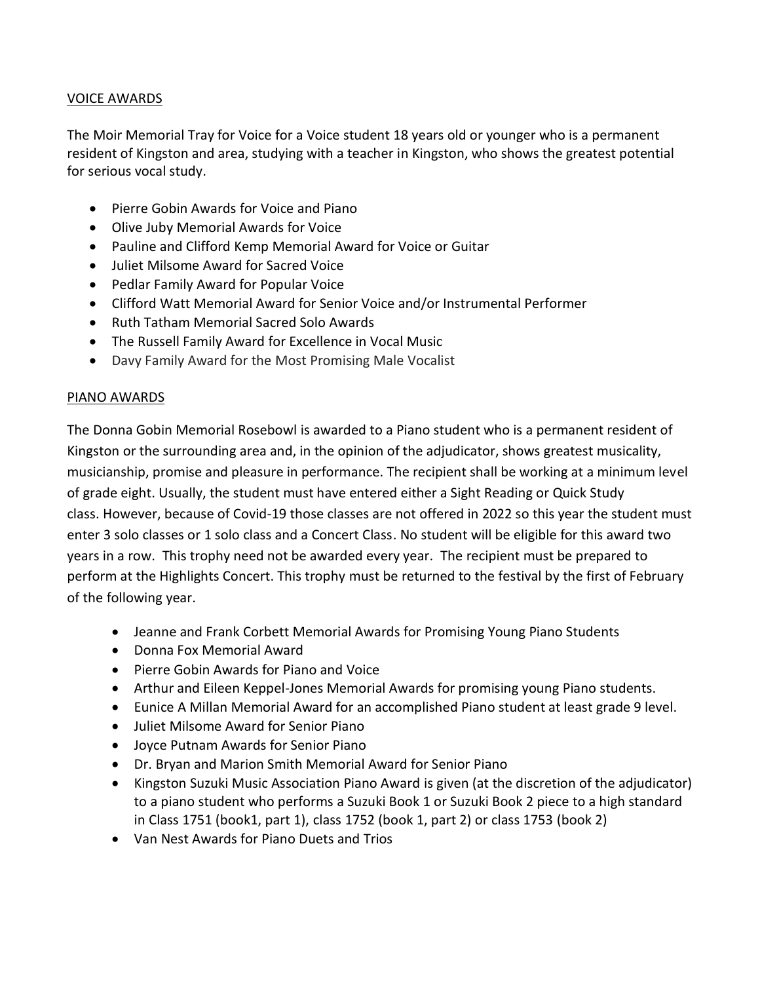## VOICE AWARDS

The Moir Memorial Tray for Voice for a Voice student 18 years old or younger who is a permanent resident of Kingston and area, studying with a teacher in Kingston, who shows the greatest potential for serious vocal study.

- Pierre Gobin Awards for Voice and Piano
- Olive Juby Memorial Awards for Voice
- Pauline and Clifford Kemp Memorial Award for Voice or Guitar
- Juliet Milsome Award for Sacred Voice
- Pedlar Family Award for Popular Voice
- Clifford Watt Memorial Award for Senior Voice and/or Instrumental Performer
- Ruth Tatham Memorial Sacred Solo Awards
- The Russell Family Award for Excellence in Vocal Music
- Davy Family Award for the Most Promising Male Vocalist

#### PIANO AWARDS

The Donna Gobin Memorial Rosebowl is awarded to a Piano student who is a permanent resident of Kingston or the surrounding area and, in the opinion of the adjudicator, shows greatest musicality, musicianship, promise and pleasure in performance. The recipient shall be working at a minimum level of grade eight. Usually, the student must have entered either a Sight Reading or Quick Study class. However, because of Covid-19 those classes are not offered in 2022 so this year the student must enter 3 solo classes or 1 solo class and a Concert Class. No student will be eligible for this award two years in a row. This trophy need not be awarded every year. The recipient must be prepared to perform at the Highlights Concert. This trophy must be returned to the festival by the first of February of the following year.

- Jeanne and Frank Corbett Memorial Awards for Promising Young Piano Students
- Donna Fox Memorial Award
- Pierre Gobin Awards for Piano and Voice
- Arthur and Eileen Keppel-Jones Memorial Awards for promising young Piano students.
- Eunice A Millan Memorial Award for an accomplished Piano student at least grade 9 level.
- Juliet Milsome Award for Senior Piano
- Joyce Putnam Awards for Senior Piano
- Dr. Bryan and Marion Smith Memorial Award for Senior Piano
- Kingston Suzuki Music Association Piano Award is given (at the discretion of the adjudicator) to a piano student who performs a Suzuki Book 1 or Suzuki Book 2 piece to a high standard in Class 1751 (book1, part 1), class 1752 (book 1, part 2) or class 1753 (book 2)
- Van Nest Awards for Piano Duets and Trios